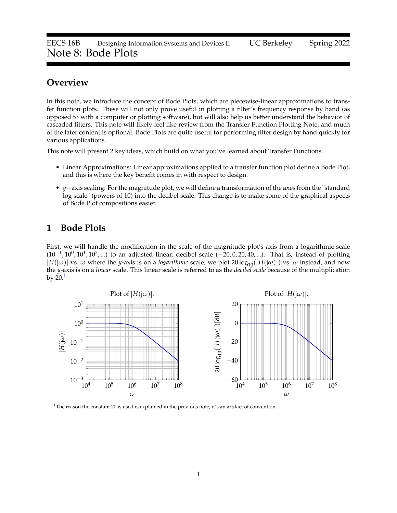# **Overview**

In this note, we introduce the concept of Bode Plots, which are piecewise-linear approximations to transfer function plots. These will not only prove useful in plotting a filter's frequency response by hand (as opposed to with a computer or plotting software), but will also help us better understand the behavior of cascaded filters. This note will likely feel like review from the Transfer Function Plotting Note, and much of the later content is optional. Bode Plots are quite useful for performing filter design by hand quickly for various applications.

This note will present 2 key ideas, which build on what you've learned about Transfer Functions.

- Linear Approximations: Linear approximations applied to a transfer function plot define a Bode Plot, and this is where the key benefit comes in with respect to design.
- *y*−axis scaling: For the magnitude plot, we will define a transformation of the axes from the "standard log scale" (powers of 10) into the decibel scale. This change is to make some of the graphical aspects of Bode Plot compositions easier.

# **1 Bode Plots**

First, we will handle the modification in the scale of the magnitude plot's axis from a logarithmic scale  $(10^{-1}, 10^0, 10^1, 10^2, ...)$  to an adjusted linear, decibel scale  $(-20, 0, 20, 40, ...)$ . That is, instead of plotting  $|H(j\omega)|$  vs.  $\omega$  where the *y*-axis is on a *logarithmic* scale, we plot  $20 \log_{10}(|H(j\omega)|)$  vs.  $\omega$  instead, and now the *y*-axis is on a *linear* scale. This linear scale is referred to as the *decibel scale* because of the multiplication by  $20.<sup>1</sup>$  $20.<sup>1</sup>$  $20.<sup>1</sup>$ 



<span id="page-0-0"></span>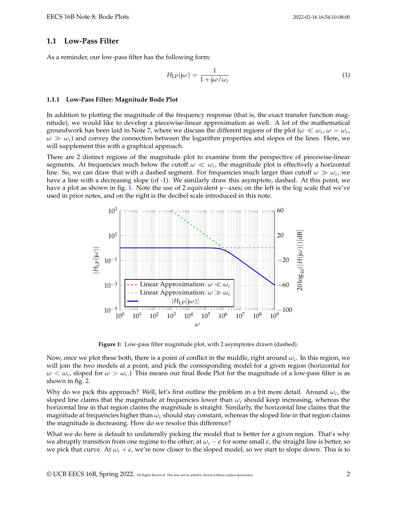#### **1.1 Low-Pass Filter**

As a reminder, our low-pass filter has the following form:

$$
H_{\rm LP}(j\omega) = \frac{1}{1 + j\omega/\omega_c} \tag{1}
$$

#### **1.1.1 Low-Pass Filter: Magnitude Bode Plot**

In addition to plotting the magnitude of the frequency response (that is, the exact transfer function magnitude), we would like to develop a piecewise-linear approximation as well. A lot of the mathematical groundwork has been laid in Note 7, where we discuss the different regions of the plot ( $\omega \ll \omega_c$ ,  $\omega = \omega_c$ ,  $\omega \gg \omega_c$ ) and convey the connection between the logarithm properties and slopes of the lines. Here, we will supplement this with a graphical approach.

There are 2 distinct regions of the magnitude plot to examine from the perspective of piecewise-linear segments. At frequencies much below the cutoff  $\omega \ll \omega_c$ , the magnitude plot is effectively a horizontal line. So, we can draw that with a dashed segment. For frequencies much larger than cutoff  $\omega \gg \omega_c$ , we have a line with a decreasing slope (of -1). We similarly draw this asymptote, dashed. At this point, we have a plot as shown in fig. [1.](#page-1-0) Note the use of 2 equivalent *y*−axes; on the left is the log scale that we've used in prior notes, and on the right is the decibel scale introduced in this note.

<span id="page-1-0"></span>

**Figure 1:** Low-pass filter magnitude plot, with 2 asymptotes drawn (dashed).

Now, once we plot these both, there is a point of conflict in the middle, right around *ωc*. In this region, we will join the two models at a point, and pick the corresponding model for a given region (horizontal for  $\omega < \omega_c$ , sloped for  $\omega > \omega_c$ .) This means our final Bode Plot for the magnitude of a low-pass filter is as shown in fig. [2.](#page-2-0)

Why do we pick this approach? Well, let's first outline the problem in a bit more detail. Around  $\omega_c$ , the sloped line claims that the magnitude at frequencies lower than  $\omega_c$  should keep increasing, whereas the horizontal line in that region claims the magnitude is straight. Similarly, the horizontal line claims that the magnitude at frequencies higher than  $\omega_c$  should stay constant, whereas the sloped line in that region claims the magnitude is decreasing. How do we resolve this difference?

What we do here is default to unilaterally picking the model that is better for a given region. That's why we abruptly transition from one regime to the other; at  $\omega_c - \epsilon$  for some small  $\epsilon$ , the straight line is better, so we pick that curve. At  $\omega_c + \epsilon$ , we're now closer to the sloped model, so we start to slope down. This is to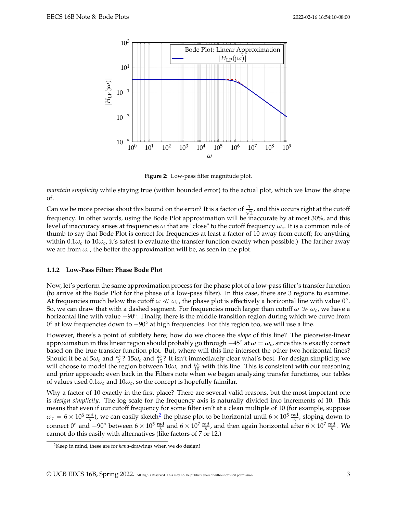<span id="page-2-0"></span>

**Figure 2:** Low-pass filter magnitude plot.

*maintain simplicity* while staying true (within bounded error) to the actual plot, which we know the shape of.

Can we be more precise about this bound on the error? It is a factor of  $\frac{1}{\sqrt{2}}$  $\frac{1}{2}$ , and this occurs right at the cutoff frequency. In other words, using the Bode Plot approximation will be inaccurate by at most 30%, and this level of inaccuracy arises at frequencies *ω* that are "close" to the cutoff frequency *ωc*. It is a common rule of thumb to say that Bode Plot is correct for frequencies at least a factor of 10 away from cutoff; for anything within  $0.1\omega_c$  to  $10\omega_c$ , it's safest to evaluate the transfer function exactly when possible.) The farther away we are from  $\omega_c$ , the better the approximation will be, as seen in the plot.

#### **1.1.2 Low-Pass Filter: Phase Bode Plot**

Now, let's perform the same approximation process for the phase plot of a low-pass filter's transfer function (to arrive at the Bode Plot for the phase of a low-pass filter). In this case, there are 3 regions to examine. At frequencies much below the cutoff  $\omega \ll \omega_c$ , the phase plot is effectively a horizontal line with value 0°. So, we can draw that with a dashed segment. For frequencies much larger than cutoff  $\omega \gg \omega_c$ , we have a horizontal line with value −90◦ . Finally, there is the middle transition region during which we curve from 0 ◦ at low frequencies down to −90◦ at high frequencies. For this region too, we will use a line.

However, there's a point of subtlety here; how do we choose the *slope* of this line? The piecewise-linear approximation in this linear region should probably go through  $-45^\circ$  at  $\omega = \omega_c$ , since this is exactly correct based on the true transfer function plot. But, where will this line intersect the other two horizontal lines? Should it be at  $5\omega_c$  and  $\frac{\omega_c}{5}$ ? 15 $\omega_c$  and  $\frac{\omega_c}{15}$ ? It isn't immediately clear what's best. For design simplicity, we will choose to model the region between  $10\omega_c$  and  $\frac{\omega_c}{10}$  with this line. This is consistent with our reasoning and prior approach; even back in the Filters note when we began analyzing transfer functions, our tables of values used  $0.1\omega_c$  and  $10\omega_c$ , so the concept is hopefully faimilar.

Why a factor of 10 exactly in the first place? There are several valid reasons, but the most important one is *design simplicity*. The log scale for the frequency axis is naturally divided into increments of 10. This means that even if our cutoff frequency for some filter isn't at a clean multiple of 10 (for example, suppose  $\omega_c = 6 \times 10^6 \frac{\text{rad}}{\text{s}}$ ), we can easily sketch<sup>[2](#page-2-1)</sup> the phase plot to be horizontal until  $6 \times 10^5 \frac{\text{rad}}{\text{s}}$ , sloping down to connect 0° and  $-90°$  between  $6 \times 10^5 \frac{\text{rad}}{\text{s}}$  and  $6 \times 10^7 \frac{\text{rad}}{\text{s}}$ , and then again horizontal after  $6 \times 10^7 \frac{\text{rad}}{\text{s}}$ . We cannot do this easily with alternatives (like factors of 7 or 12.)

<span id="page-2-1"></span><sup>2</sup>Keep in mind, these are for *hand*-drawings when we do design!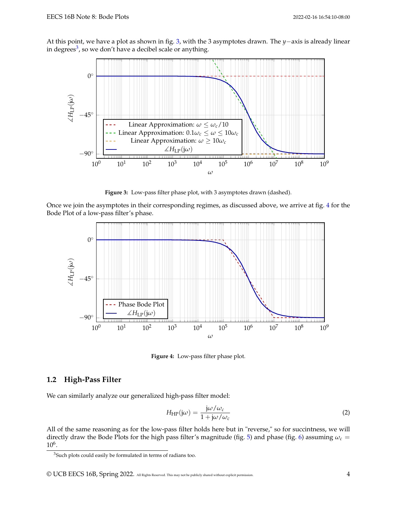<span id="page-3-0"></span>At this point, we have a plot as shown in fig. [3,](#page-3-0) with the 3 asymptotes drawn. The *y*−axis is already linear in degrees<sup>[3](#page-3-1)</sup>, so we don't have a decibel scale or anything.



**Figure 3:** Low-pass filter phase plot, with 3 asymptotes drawn (dashed).

<span id="page-3-2"></span>Once we join the asymptotes in their corresponding regimes, as discussed above, we arrive at fig. [4](#page-3-2) for the Bode Plot of a low-pass filter's phase.



**Figure 4:** Low-pass filter phase plot.

#### **1.2 High-Pass Filter**

We can similarly analyze our generalized high-pass filter model:

$$
H_{\rm HP}(j\omega) = \frac{j\omega/\omega_c}{1 + j\omega/\omega_c}
$$
 (2)

All of the same reasoning as for the low-pass filter holds here but in "reverse," so for succintness, we will directly draw the Bode Plots for the high pass filter's magnitude (fig. [5\)](#page-4-0) and phase (fig. [6\)](#page-4-1) assuming *ω<sup>c</sup>* = 10<sup>6</sup> .

© UCB EECS 16B, Spring 2022. All Rights Reserved. This may not be publicly shared without explicit permission. 4

<span id="page-3-1"></span><sup>&</sup>lt;sup>3</sup>Such plots could easily be formulated in terms of radians too.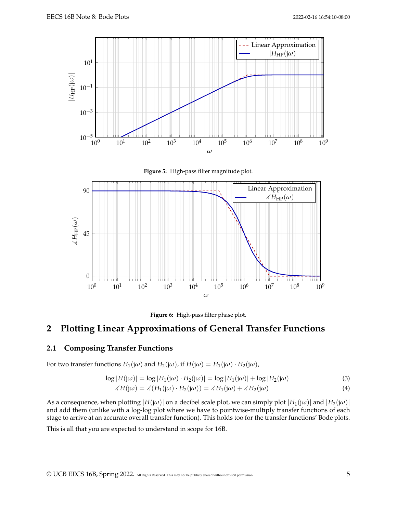<span id="page-4-0"></span>



<span id="page-4-1"></span>



# **2 Plotting Linear Approximations of General Transfer Functions**

## **2.1 Composing Transfer Functions**

For two transfer functions  $H_1(j\omega)$  and  $H_2(j\omega)$ , if  $H(j\omega) = H_1(j\omega) \cdot H_2(j\omega)$ ,

$$
\log|H(j\omega)| = \log|H_1(j\omega) \cdot H_2(j\omega)| = \log|H_1(j\omega)| + \log|H_2(j\omega)| \tag{3}
$$

$$
\angle H(j\omega) = \angle (H_1(j\omega) \cdot H_2(j\omega)) = \angle H_1(j\omega) + \angle H_2(j\omega)
$$
\n(4)

As a consequence, when plotting  $|H(j\omega)|$  on a decibel scale plot, we can simply plot  $|H_1(j\omega)|$  and  $|H_2(j\omega)|$ and add them (unlike with a log-log plot where we have to pointwise-multiply transfer functions of each stage to arrive at an accurate overall transfer function). This holds too for the transfer functions' Bode plots.

This is all that you are expected to understand in scope for 16B.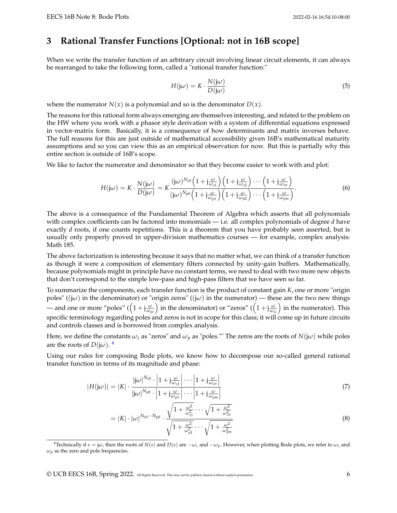# **3 Rational Transfer Functions [Optional: not in 16B scope]**

When we write the transfer function of an arbitrary circuit involving linear circuit elements, it can always be rearranged to take the following form, called a "rational transfer function:"

$$
H(j\omega) = K \cdot \frac{N(j\omega)}{D(j\omega)}\tag{5}
$$

where the numerator  $N(x)$  is a polynomial and so is the denominator  $D(x)$ .

The reasons for this rational form always emerging are themselves interesting, and related to the problem on the HW where you work with a phasor style derivation with a system of differential equations expressed in vector-matrix form. Basically, it is a consequence of how determinants and matrix inverses behave. The full reasons for this are just outside of mathematical accessibility given 16B's mathematical maturity assumptions and so you can view this as an empirical observation for now. But this is partially why this entire section is outside of 16B's scope.

We like to factor the numerator and denominator so that they become easier to work with and plot:

$$
H(j\omega) = K \cdot \frac{N(j\omega)}{D(j\omega)} = K \frac{(j\omega)^{N_{z0}} \left(1 + j\frac{\omega}{\omega_{z1}}\right) \left(1 + j\frac{\omega}{\omega_{z2}}\right) \cdots \left(1 + j\frac{\omega}{\omega_{zn}}\right)}{(j\omega)^{N_{p0}} \left(1 + j\frac{\omega}{\omega_{p1}}\right) \left(1 + j\frac{\omega}{\omega_{p2}}\right) \cdots \left(1 + j\frac{\omega}{\omega_{pm}}\right)}.
$$
(6)

The above is a consequence of the Fundamental Theorem of Algebra which asserts that all polynomials with complex coefficients can be factored into monomials — i.e. all complex polynomials of degree *d* have exactly *d* roots, if one counts repetitions. This is a theorem that you have probably seen asserted, but is usually only properly proved in upper-division mathematics courses — for example, complex analysis: Math 185.

The above factorization is interesting because it says that no matter what, we can think of a transfer function as though it were a composition of elementary filters connected by unity-gain buffers. Mathematically, because polynomials might in principle have no constant terms, we need to deal with two more new objects that don't correspond to the simple low-pass and high-pass filters that we have seen so far.

To summarize the components, each transfer function is the product of constant gain *K*, one or more "origin poles" (( $j\omega$ ) in the denominator) or "origin zeros" (( $j\omega$ ) in the numerator) — these are the two new things — and one or more "poles" ( $(1+j\frac{\omega}{\omega_{pi}})$  in the denominator) or "zeros" ( $\left(1+j\frac{\omega}{\omega_{zi}}\right)$  in the numerator). This specific terminology regarding poles and zeros is not in scope for this class; it will come up in future circuits and controls classes and is borrowed from complex analysis.

Here, we define the constants  $\omega_z$  as "zeros" and  $\omega_p$  as "poles."" The zeros are the roots of  $N(i\omega)$  while poles are the roots of  $D(j\omega)$ .<sup>[4](#page-5-0)</sup>

Using our rules for composing Bode plots, we know how to decompose our so-called general rational transfer function in terms of its magnitude and phase:

$$
|H(j\omega)| = |K| \cdot \frac{|j\omega|^{N_{z0}} \cdot \left|1 + j\frac{\omega}{\omega_{z1}}\right| \cdots \left|1 + j\frac{\omega}{\omega_{zn}}\right|}{|j\omega|^{N_{p0}} \cdot \left|1 + j\frac{\omega}{\omega_{p1}}\right| \cdots \left|1 + j\frac{\omega}{\omega_{pm}}\right|}
$$
(7)

$$
= |K| \cdot |\omega|^{N_{20}-N_{p0}} \cdot \frac{\sqrt{1+\frac{\omega^2}{\omega_{z1}^2}} \cdots \sqrt{1+\frac{\omega^2}{\omega_{zn}^2}}}{\sqrt{1+\frac{\omega^2}{\omega_{p1}^2}} \cdots \sqrt{1+\frac{\omega^2}{\omega_{p_m}^2}}}
$$
\n(8)

<span id="page-5-0"></span><sup>4</sup>Technically if  $s = j\omega$ , then the roots of *N*(*s*) and *D*(*s*) are  $-\omega_z$  and  $-\omega_p$ . However, when plotting Bode plots, we refer to  $\omega_z$  and  $\omega_p$  as the zero and pole frequencies.

© UCB EECS 16B, Spring 2022. All Rights Reserved. This may not be publicly shared without explicit permission. 6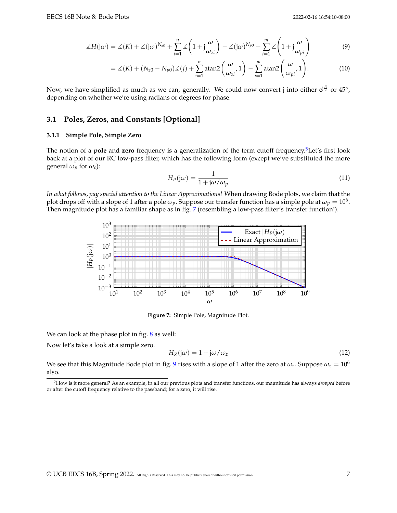$$
\measuredangle H(j\omega) = \measuredangle(K) + \measuredangle(j\omega)^{N_{z0}} + \sum_{i=1}^{n} \measuredangle \left(1 + j\frac{\omega}{\omega_{zi}}\right) - \measuredangle(j\omega)^{N_{p0}} - \sum_{i=1}^{m} \measuredangle \left(1 + j\frac{\omega}{\omega_{pi}}\right) \tag{9}
$$

$$
= \measuredangle(K) + (N_{z0} - N_{p0})\measuredangle(j) + \sum_{i=1}^{n} \text{atan2}\left(\frac{\omega}{\omega_{zi}}, 1\right) - \sum_{i=1}^{m} \text{atan2}\left(\frac{\omega}{\omega_{pi}}, 1\right). \tag{10}
$$

Now, we have simplified as much as we can, generally. We could now convert j into either e<sup>j $\frac{\pi}{2}$ </sup> or  $45^{\circ}$ , depending on whether we're using radians or degrees for phase.

#### **3.1 Poles, Zeros, and Constants [Optional]**

#### **3.1.1 Simple Pole, Simple Zero**

The notion of a **pole** and **zero** frequency is a generalization of the term cutoff frequency.[5](#page-6-0)Let's first look back at a plot of our RC low-pass filter, which has the following form (except we've substituted the more general  $\omega_p$  for  $\omega_c$ ):

$$
H_P(j\omega) = \frac{1}{1 + j\omega/\omega_p} \tag{11}
$$

<span id="page-6-1"></span>*In what follows, pay special attention to the Linear Approximations!* When drawing Bode plots, we claim that the plot drops off with a slope of 1 after a pole  $\omega_p$ . Suppose our transfer function has a simple pole at  $\omega_p=10^6$ . Then magnitude plot has a familiar shape as in fig. [7](#page-6-1) (resembling a low-pass filter's transfer function!).



**Figure 7:** Simple Pole, Magnitude Plot.

We can look at the phase plot in fig. [8](#page-7-0) as well:

Now let's take a look at a simple zero.

$$
H_Z(\mathbf{j}\omega) = 1 + \mathbf{j}\omega/\omega_z \tag{12}
$$

We see that this Magnitude Bode plot in fig. [9](#page-7-1) rises with a slope of 1 after the zero at  $\omega_z$ . Suppose  $\omega_z = 10^6$ also.

<span id="page-6-0"></span><sup>5</sup>How is it more general? As an example, in all our previous plots and transfer functions, our magnitude has always *dropped* before or after the cutoff frequency relative to the passband; for a zero, it will rise.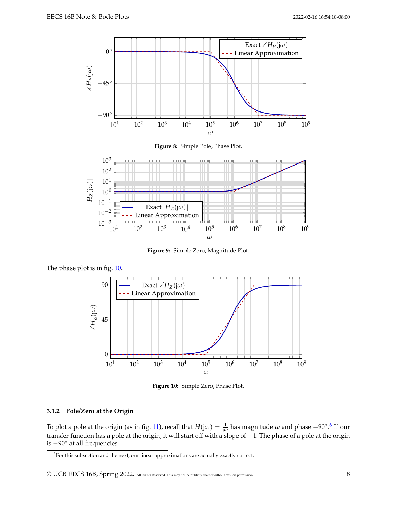<span id="page-7-0"></span>

<span id="page-7-1"></span>

**Figure 9:** Simple Zero, Magnitude Plot.

<span id="page-7-2"></span>



**Figure 10:** Simple Zero, Phase Plot.

### **3.1.2 Pole/Zero at the Origin**

To plot a pole at the origin (as in fig. [11\)](#page-8-0), recall that  $H(j\omega) = \frac{1}{j\omega}$  has magnitude  $\omega$  and phase −90°.<sup>[6](#page-7-3)</sup> If our transfer function has a pole at the origin, it will start off with a slope of −1. The phase of a pole at the origin is −90◦ at all frequencies.

<span id="page-7-3"></span><sup>&</sup>lt;sup>6</sup>For this subsection and the next, our linear approximations are actually exactly correct.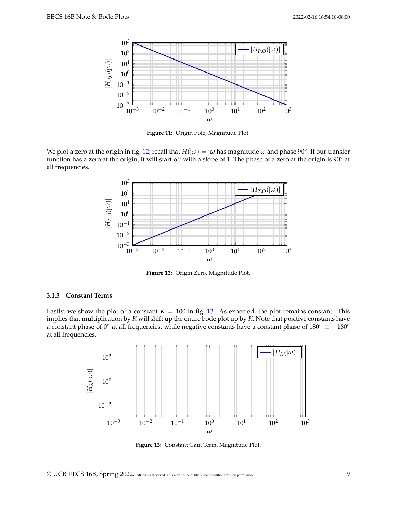<span id="page-8-0"></span>

**Figure 11:** Origin Pole, Magnitude Plot.

<span id="page-8-1"></span>We plot a zero at the origin in fig. [12,](#page-8-1) recall that  $H(j\omega)=j\omega$  has magnitude  $\omega$  and phase 90°. If our transfer function has a zero at the origin, it will start off with a slope of 1. The phase of a zero at the origin is 90° at all frequencies.



**Figure 12:** Origin Zero, Magnitude Plot.

#### **3.1.3 Constant Terms**

<span id="page-8-2"></span>Lastly, we show the plot of a constant  $K = 100$  in fig. [13.](#page-8-2) As expected, the plot remains constant. This implies that multiplication by *K* will shift up the entire bode plot up by *K*. Note that positive constants have a constant phase of 0° at all frequencies, while negative constants have a constant phase of  $180° \equiv -180°$ at all frequencies.



**Figure 13:** Constant Gain Term, Magnitude Plot.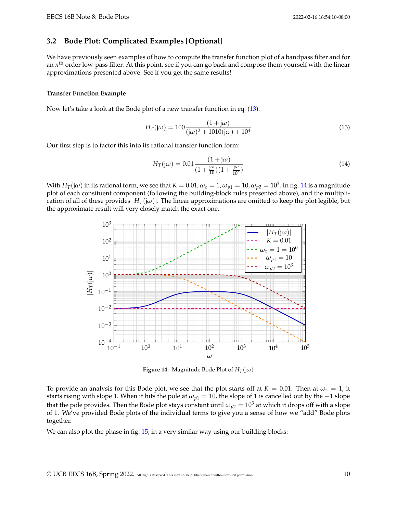## **3.2 Bode Plot: Complicated Examples [Optional]**

We have previously seen examples of how to compute the transfer function plot of a bandpass filter and for an *n*<sup>th</sup> order low-pass filter. At this point, see if you can go back and compose them yourself with the linear approximations presented above. See if you get the same results!

#### **Transfer Function Example**

Now let's take a look at the Bode plot of a new transfer function in eq. [\(13\)](#page-9-0).

<span id="page-9-0"></span>
$$
H_T(j\omega) = 100 \frac{(1+j\omega)}{(j\omega)^2 + 1010(j\omega) + 10^4}
$$
\n(13)

Our first step is to factor this into its rational transfer function form:

$$
H_T(j\omega) = 0.01 \frac{(1+j\omega)}{(1+\frac{j\omega}{10})(1+\frac{j\omega}{10^3})}
$$
(14)

<span id="page-9-1"></span>With  $H_T(j\omega)$  in its rational form, we see that  $K=0.01$ ,  $\omega_z=1$ ,  $\omega_{p1}=10$ ,  $\omega_{p2}=10^3$ . In fig. [14](#page-9-1) is a magnitude plot of each consituent component (following the building-block rules presented above), and the multiplication of all of these provides  $|H_T(i\omega)|$ . The linear approximations are omitted to keep the plot legible, but the approximate result will very closely match the exact one.



**Figure 14:** Magnitude Bode Plot of  $H_T(j\omega)$ 

To provide an analysis for this Bode plot, we see that the plot starts off at  $K = 0.01$ . Then at  $\omega_z = 1$ , it starts rising with slope 1. When it hits the pole at  $\omega_{p1} = 10$ , the slope of 1 is cancelled out by the  $-1$  slope that the pole provides. Then the Bode plot stays constant until  $\omega_{p2} = 10^3$  at which it drops off with a slope of 1. We've provided Bode plots of the individual terms to give you a sense of how we "add" Bode plots together.

We can also plot the phase in fig. [15,](#page-10-0) in a very similar way using our building blocks: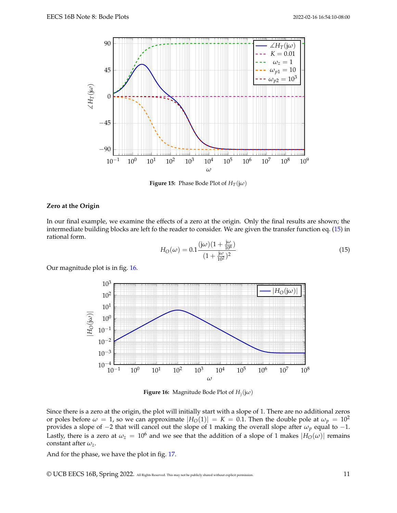<span id="page-10-0"></span>

**Figure 15:** Phase Bode Plot of  $H_T(j\omega)$ 

#### **Zero at the Origin**

In our final example, we examine the effects of a zero at the origin. Only the final results are shown; the intermediate building blocks are left fo the reader to consider. We are given the transfer function eq. [\(15\)](#page-10-1) in rational form.

<span id="page-10-1"></span>
$$
H_O(\omega) = 0.1 \frac{(\mathrm{j}\omega)(1 + \frac{\mathrm{j}\omega}{10^6})}{(1 + \frac{\mathrm{j}\omega}{10^2})^2}
$$
(15)

<span id="page-10-2"></span>Our magnitude plot is in fig. [16.](#page-10-2)



**Figure 16:** Magnitude Bode Plot of *H*) (j*ω*)

Since there is a zero at the origin, the plot will initially start with a slope of 1. There are no additional zeros or poles before  $\omega = 1$ , so we can approximate  $|H_O(1)| = K = 0.1$ . Then the double pole at  $\omega_p = 10^2$ provides a slope of −2 that will cancel out the slope of 1 making the overall slope after *ω<sup>p</sup>* equal to −1. Lastly, there is a zero at  $\omega_z = 10^6$  and we see that the addition of a slope of 1 makes  $|H_0(\omega)|$  remains constant after *ωz*.

And for the phase, we have the plot in fig. [17.](#page-11-0)

© UCB EECS 16B, Spring 2022. All Rights Reserved. This may not be publicly shared without explicit permission. 11